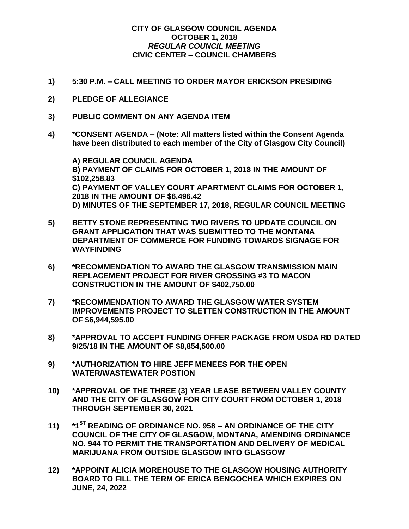## **CITY OF GLASGOW COUNCIL AGENDA OCTOBER 1, 2018** *REGULAR COUNCIL MEETING* **CIVIC CENTER – COUNCIL CHAMBERS**

- **1) 5:30 P.M. – CALL MEETING TO ORDER MAYOR ERICKSON PRESIDING**
- **2) PLEDGE OF ALLEGIANCE**
- **3) PUBLIC COMMENT ON ANY AGENDA ITEM**
- **4) \*CONSENT AGENDA – (Note: All matters listed within the Consent Agenda have been distributed to each member of the City of Glasgow City Council)**

**A) REGULAR COUNCIL AGENDA B) PAYMENT OF CLAIMS FOR OCTOBER 1, 2018 IN THE AMOUNT OF \$102,258.83 C) PAYMENT OF VALLEY COURT APARTMENT CLAIMS FOR OCTOBER 1, 2018 IN THE AMOUNT OF \$6,496.42 D) MINUTES OF THE SEPTEMBER 17, 2018, REGULAR COUNCIL MEETING**

- **5) BETTY STONE REPRESENTING TWO RIVERS TO UPDATE COUNCIL ON GRANT APPLICATION THAT WAS SUBMITTED TO THE MONTANA DEPARTMENT OF COMMERCE FOR FUNDING TOWARDS SIGNAGE FOR WAYFINDING**
- **6) \*RECOMMENDATION TO AWARD THE GLASGOW TRANSMISSION MAIN REPLACEMENT PROJECT FOR RIVER CROSSING #3 TO MACON CONSTRUCTION IN THE AMOUNT OF \$402,750.00**
- **7) \*RECOMMENDATION TO AWARD THE GLASGOW WATER SYSTEM IMPROVEMENTS PROJECT TO SLETTEN CONSTRUCTION IN THE AMOUNT OF \$6,944,595.00**
- **8) \*APPROVAL TO ACCEPT FUNDING OFFER PACKAGE FROM USDA RD DATED 9/25/18 IN THE AMOUNT OF \$8,854,500.00**
- **9) \*AUTHORIZATION TO HIRE JEFF MENEES FOR THE OPEN WATER/WASTEWATER POSTION**
- **10) \*APPROVAL OF THE THREE (3) YEAR LEASE BETWEEN VALLEY COUNTY AND THE CITY OF GLASGOW FOR CITY COURT FROM OCTOBER 1, 2018 THROUGH SEPTEMBER 30, 2021**
- **11) \*1ST READING OF ORDINANCE NO. 958 – AN ORDINANCE OF THE CITY COUNCIL OF THE CITY OF GLASGOW, MONTANA, AMENDING ORDINANCE NO. 944 TO PERMIT THE TRANSPORTATION AND DELIVERY OF MEDICAL MARIJUANA FROM OUTSIDE GLASGOW INTO GLASGOW**
- **12) \*APPOINT ALICIA MOREHOUSE TO THE GLASGOW HOUSING AUTHORITY BOARD TO FILL THE TERM OF ERICA BENGOCHEA WHICH EXPIRES ON JUNE, 24, 2022**